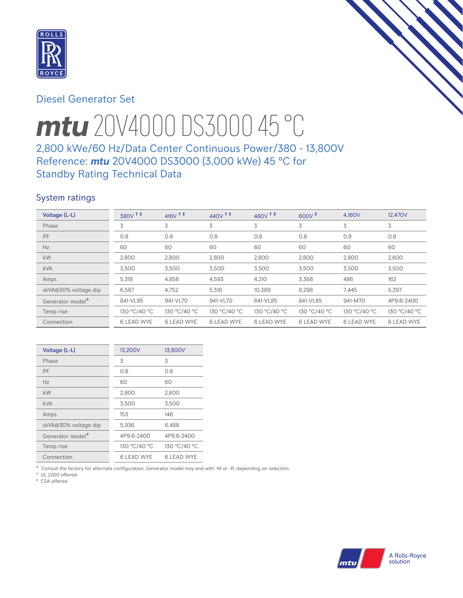

# Diesel Generator Set

# *mtu* 20V4000 DS3000 45 °C

# 2,800 kWe/60 Hz/Data Center Continuous Power/380 - 13,800V Reference: *mtu* 20V4000 DS3000 (3,000 kWe) 45 °C for Standby Rating Technical Data

## System ratings

| Voltage (L-L)                | $380V$ <sup>++</sup> | $416V$ <sup>++</sup> | $440V$ <sup>++</sup> | $480V$ <sup>++</sup> | $600V^{\ddagger}$ | 4.160V            | 12,470V           |
|------------------------------|----------------------|----------------------|----------------------|----------------------|-------------------|-------------------|-------------------|
| Phase                        | 3                    | 3                    | 3                    | 3                    | 3                 | 3                 | 3                 |
| PF                           | 0.8                  | 0.8                  | 0.8                  | 0.8                  | 0.8               | 0.8               | 0.8               |
| Hz                           | 60                   | 60                   | 60                   | 60                   | 60                | 60                | 60                |
| kW                           | 2,800                | 2,800                | 2,800                | 2,800                | 2.800             | 2,800             | 2,800             |
| <b>kVA</b>                   | 3,500                | 3,500                | 3,500                | 3,500                | 3,500             | 3,500             | 3,500             |
| Amps                         | 5,318                | 4,858                | 4,593                | 4.210                | 3.368             | 486               | 162               |
| skVA@30% voltage dip         | 6,587                | 4,752                | 5,316                | 10,389               | 8,298             | 7,445             | 5,297             |
| Generator model <sup>*</sup> | 841-VL85             | 941-VL70             | 941-VL70             | 841-VL85             | 841-VL85          | 941-M70           | 4P9.6-2400        |
| Temp rise                    | 130 °C/40 °C         | 130 °C/40 °C         | 130 °C/40 °C         | 130 °C/40 °C         | 130 °C/40 °C      | 130 °C/40 °C      | 130 °C/40 °C      |
| Connection                   | <b>6 LEAD WYE</b>    | <b>6 LEAD WYE</b>    | <b>6 LEAD WYE</b>    | <b>6 LEAD WYE</b>    | <b>6 LEAD WYE</b> | <b>6 LEAD WYE</b> | <b>6 LEAD WYE</b> |

| Voltage (L-L)                | 13,200V           | 13,800V           |
|------------------------------|-------------------|-------------------|
| Phase                        | 3                 | 3                 |
| PF                           | 0.8               | 0.8               |
| Hz                           | 60                | 60                |
| kW                           | 2,800             | 2,800             |
| <b>kVA</b>                   | 3,500             | 3,500             |
| Amps                         | 153               | 146               |
| skVA@30% voltage dip         | 5,936             | 6,488             |
| Generator model <sup>*</sup> | 4P9.6-2400        | 4P9.6-2400        |
| Temp rise                    | 130 °C/40 °C      | 130 °C/40 °C      |
| Connection                   | <b>6 LEAD WYE</b> | <b>6 LEAD WYE</b> |

\* Consult the factory for alternate configuration. Generator model may end with -M or -R, depending on selection.

† UL 2200 offered ‡ CSA offered

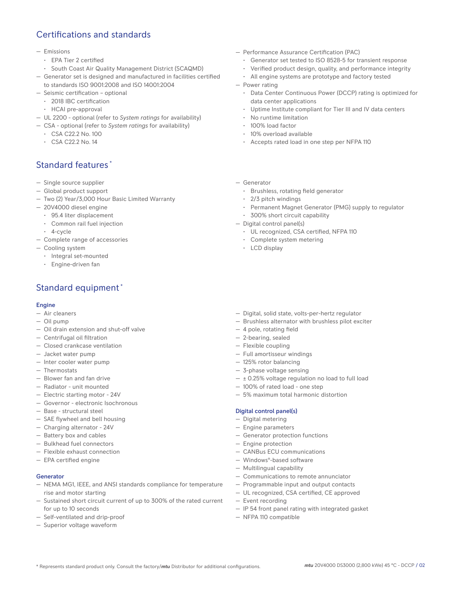# Certifications and standards

#### — Emissions

- EPA Tier 2 certified
- South Coast Air Quality Management District (SCAQMD)
- Generator set is designed and manufactured in facilities certified to standards ISO 9001:2008 and ISO 14001:2004
- Seismic certification optional
	- 2018 IBC certification
	- HCAI pre-approval
- UL 2200 optional (refer to *System ratings* for availability)
- CSA optional (refer to *System ratings* for availability)
	- CSA C22.2 No. 100
	- CSA C22.2 No. 14

## Standard features \*

- Single source supplier
- Global product support
- Two (2) Year/3,000 Hour Basic Limited Warranty
- 20V4000 diesel engine
	- 95.4 liter displacement
	- Common rail fuel injection
	- 4-cycle
- Complete range of accessories
- Cooling system
	- Integral set-mounted
	- Engine-driven fan

# Standard equipment \*

### Engine

- Air cleaners
- Oil pump
- Oil drain extension and shut-off valve
- Centrifugal oil filtration
- Closed crankcase ventilation
- Jacket water pump
- Inter cooler water pump
- Thermostats
- Blower fan and fan drive
- Radiator unit mounted
- Electric starting motor 24V
- Governor electronic Isochronous
- Base structural steel
- SAE flywheel and bell housing
- Charging alternator 24V
- Battery box and cables
- Bulkhead fuel connectors
- Flexible exhaust connection
- EPA certified engine

## Generator

- NEMA MG1, IEEE, and ANSI standards compliance for temperature rise and motor starting
- Sustained short circuit current of up to 300% of the rated current for up to 10 seconds
- Self-ventilated and drip-proof
- Superior voltage waveform
- Performance Assurance Certification (PAC)
	- Generator set tested to ISO 8528-5 for transient response
	- Verified product design, quality, and performance integrity
	- All engine systems are prototype and factory tested
- Power rating
	- Data Center Continuous Power (DCCP) rating is optimized for data center applications
	- Uptime Institute compliant for Tier III and IV data centers
	- No runtime limitation
	- 100% load factor
	- 10% overload available
	- Accepts rated load in one step per NFPA 110
- Generator
	- Brushless, rotating field generator
	- 2/3 pitch windings
	- Permanent Magnet Generator (PMG) supply to regulator
	- 300% short circuit capability
- Digital control panel(s)
	- UL recognized, CSA certified, NFPA 110
	- Complete system metering
	- LCD display
- Digital, solid state, volts-per-hertz regulator
- Brushless alternator with brushless pilot exciter
- 4 pole, rotating field
- 2-bearing, sealed
- Flexible coupling
- Full amortisseur windings
- 125% rotor balancing
- 3-phase voltage sensing
- $\pm$  0.25% voltage regulation no load to full load
- 100% of rated load one step
- 5% maximum total harmonic distortion

#### Digital control panel(s)

- Digital metering
- Engine parameters
- Generator protection functions
- Engine protection
- CANBus ECU communications
- Windows®-based software
- Multilingual capability
- Communications to remote annunciator
- Programmable input and output contacts
- UL recognized, CSA certified, CE approved
- Event recording
- IP 54 front panel rating with integrated gasket
- NFPA 110 compatible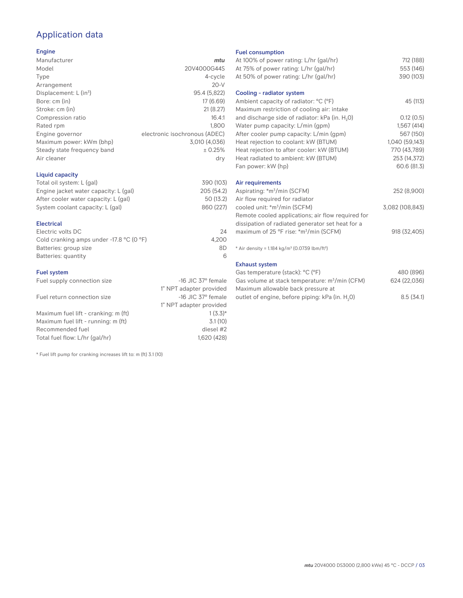# Application data

## Engine

| Manufacturer                         | mtu                           |
|--------------------------------------|-------------------------------|
| Model                                | 20V4000G44S                   |
| Type                                 | 4-cycle                       |
| Arrangement                          | $20-V$                        |
| Displacement: $L$ (in <sup>3</sup> ) | 95.4 (5,822)                  |
| Bore: cm (in)                        | 17 (6.69)                     |
| Stroke: cm (in)                      | 21(8.27)                      |
| Compression ratio                    | 16.4:1                        |
| Rated rpm                            | 1.800                         |
| Engine governor                      | electronic isochronous (ADEC) |
| Maximum power: kWm (bhp)             | 3,010 (4,036)                 |
| Steady state frequency band          | ± 0.25%                       |
| Air cleaner                          | dry                           |
|                                      |                               |

## Liquid capacity

| Total oil system: L (gal)             | 390 (103)  |
|---------------------------------------|------------|
| Engine jacket water capacity: L (gal) | 205 (54.2) |
| After cooler water capacity: L (gal)  | 50 (13.2)  |
| System coolant capacity: L (gal)      | 860 (227)  |
|                                       |            |

## Electrical

| Electric volts DC                                            | 24    |
|--------------------------------------------------------------|-------|
| Cold cranking amps under -17.8 $^{\circ}$ C (O $^{\circ}$ F) | 4.200 |
| Batteries: group size                                        | 8D    |
| Batteries: quantity                                          |       |

## Fuel system

| Fuel supply connection size          | $-16$ JIC 37 $\degree$ female |
|--------------------------------------|-------------------------------|
|                                      | 1" NPT adapter provided       |
| Fuel return connection size          | $-16$ JIC 37 $\degree$ female |
|                                      | 1" NPT adapter provided       |
| Maximum fuel lift - cranking: m (ft) | $1(3.3)*$                     |
| Maximum fuel lift - running: m (ft)  | 3.1(10)                       |
| Recommended fuel                     | diesel #2                     |
| Total fuel flow: L/hr (gal/hr)       | 1,620 (428)                   |

\* Fuel lift pump for cranking increases lift to: m (ft) 3.1 (10)

### Fuel consumption

| At 100% of power rating: L/hr (gal/hr)<br>At 75% of power rating: L/hr (gal/hr)     | 712 (188)<br>553 (146) |
|-------------------------------------------------------------------------------------|------------------------|
| At 50% of power rating: L/hr (gal/hr)                                               | 390 (103)              |
| Cooling - radiator system                                                           |                        |
| Ambient capacity of radiator: °C (°F)<br>Maximum restriction of cooling air: intake | 45 (113)               |
| and discharge side of radiator: kPa (in. H <sub>2</sub> O)                          | 0.12(0.5)              |
| Water pump capacity: L/min (gpm)                                                    | 1,567(414)             |
| After cooler pump capacity: L/min (gpm)                                             | 567 (150)              |
| Heat rejection to coolant: kW (BTUM)                                                | 1,040 (59,143)         |
| Heat rejection to after cooler: kW (BTUM)                                           | 770 (43,789)           |
| Heat radiated to ambient: kW (BTUM)                                                 | 253 (14,372)           |
| Fan power: kW (hp)                                                                  | 60.6 (81.3)            |
| Air requirements                                                                    |                        |
| Aspirating: *m <sup>3</sup> /min (SCFM)                                             | 252 (8,900)            |
| Air flow required for radiator                                                      |                        |
| cooled unit: *m <sup>3</sup> /min (SCFM)                                            | 3,082 (108,843)        |
| Remote cooled applications; air flow required for                                   |                        |
| dissipation of radiated generator set heat for a                                    |                        |
| maximum of 25 °F rise: *m <sup>3</sup> /min (SCFM)                                  | 918 (32,405)           |
| * Air density = $1.184 \text{ kg/m}^3$ (0.0739 lbm/ft <sup>3</sup> )                |                        |
| <b>Exhaust system</b>                                                               |                        |
| Gas temperature (stack): °C (°F)                                                    | 480 (896)              |
| Gas volume at stack temperature: m <sup>3</sup> /min (CFM)                          | 624 (22,036)           |

| Ods vulume at stack temperature. In Timil (CFMI)            | UZ4 (ZZ,UJU) |
|-------------------------------------------------------------|--------------|
| Maximum allowable back pressure at                          |              |
| outlet of engine, before piping: kPa (in. H <sub>2</sub> O) | 8.5(34.1)    |